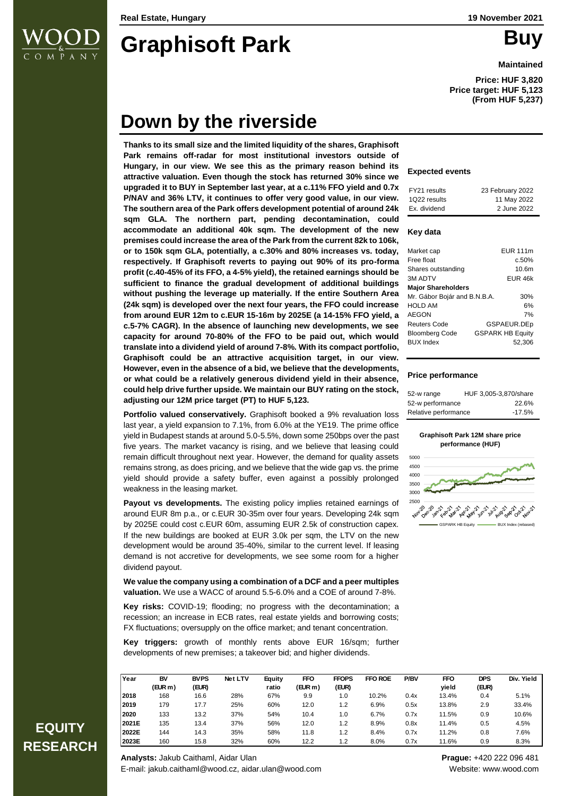

# **Graphisoft Park Buy**

**Maintained**

**Price: HUF 3,820 Price target: HUF 5,123 (From HUF 5,237)**

# **Down by the riverside**

**Thanks to its small size and the limited liquidity of the shares, Graphisoft Park remains off-radar for most institutional investors outside of Hungary, in our view. We see this as the primary reason behind its attractive valuation. Even though the stock has returned 30% since we upgraded it to BUY in September last year, at a c.11% FFO yield and 0.7x P/NAV and 36% LTV, it continues to offer very good value, in our view. The southern area of the Park offers development potential of around 24k sqm GLA. The northern part, pending decontamination, could accommodate an additional 40k sqm. The development of the new premises could increase the area of the Park from the current 82k to 106k, or to 150k sqm GLA, potentially, a c.30% and 80% increases vs. today, respectively. If Graphisoft reverts to paying out 90% of its pro-forma profit (c.40-45% of its FFO, a 4-5% yield), the retained earnings should be sufficient to finance the gradual development of additional buildings without pushing the leverage up materially. If the entire Southern Area (24k sqm) is developed over the next four years, the FFO could increase from around EUR 12m to c.EUR 15-16m by 2025E (a 14-15% FFO yield, a c.5-7% CAGR). In the absence of launching new developments, we see capacity for around 70-80% of the FFO to be paid out, which would translate into a dividend yield of around 7-8%. With its compact portfolio, Graphisoft could be an attractive acquisition target, in our view. However, even in the absence of a bid, we believe that the developments, or what could be a relatively generous dividend yield in their absence, could help drive further upside. We maintain our BUY rating on the stock, adjusting our 12M price target (PT) to HUF 5,123.** 

**Portfolio valued conservatively.** Graphisoft booked a 9% revaluation loss last year, a yield expansion to 7.1%, from 6.0% at the YE19. The prime office yield in Budapest stands at around 5.0-5.5%, down some 250bps over the past five years. The market vacancy is rising, and we believe that leasing could remain difficult throughout next year. However, the demand for quality assets remains strong, as does pricing, and we believe that the wide gap vs. the prime yield should provide a safety buffer, even against a possibly prolonged weakness in the leasing market.

**Payout vs developments.** The existing policy implies retained earnings of around EUR 8m p.a., or c.EUR 30-35m over four years. Developing 24k sqm by 2025E could cost c.EUR 60m, assuming EUR 2.5k of construction capex. If the new buildings are booked at EUR 3.0k per sqm, the LTV on the new development would be around 35-40%, similar to the current level. If leasing demand is not accretive for developments, we see some room for a higher dividend payout.

**We value the company using a combination of a DCF and a peer multiples valuation.** We use a WACC of around 5.5-6.0% and a COE of around 7-8%.

**Key risks:** COVID-19; flooding; no progress with the decontamination; a recession; an increase in ECB rates, real estate yields and borrowing costs; FX fluctuations; oversupply on the office market; and tenant concentration.

**Key triggers:** growth of monthly rents above EUR 16/sqm; further developments of new premises; a takeover bid; and higher dividends.

| Year  |               | <b>BVPS</b> | Net LTV |                 |                      | <b>FFOPS</b> | <b>FFO ROE</b> |             |                     |                     | Div. Yield |
|-------|---------------|-------------|---------|-----------------|----------------------|--------------|----------------|-------------|---------------------|---------------------|------------|
|       | BV<br>(EUR m) | (EUR)       |         | Equity<br>ratio | <b>FFO</b><br>(EURm) | (EUR)        |                | <b>P/BV</b> | <b>FFO</b><br>vield | <b>DPS</b><br>(EUR) |            |
| 2018  | 168           | 16.6        | 28%     | 67%             | 9.9                  | 1.0          | 10.2%          | 0.4x        | 13.4%               | 0.4                 | 5.1%       |
| 2019  | 179           | 17.7        | 25%     | 60%             | 12.0                 | 1.2          | 6.9%           | 0.5x        | 13.8%               | 2.9                 | 33.4%      |
| 2020  | 133           | 13.2        | 37%     | 54%             | 10.4                 | 1.0          | 6.7%           | 0.7x        | 11.5%               | 0.9                 | 10.6%      |
| 2021E | 135           | 13.4        | 37%     | 56%             | 12.0                 | 1.2          | 8.9%           | 0.8x        | 11.4%               | 0.5                 | 4.5%       |
| 2022E | 144           | 14.3        | 35%     | 58%             | 11.8                 | 1.2          | 8.4%           | 0.7x        | 11.2%               | 0.8                 | 7.6%       |
| 2023E | 160           | 15.8        | 32%     | 60%             | 12.2                 | 1.2          | 8.0%           | 0.7x        | 11.6%               | 0.9                 | 8.3%       |

#### **Expected events**

| FY21 results | 23 February 2022 |
|--------------|------------------|
| 1Q22 results | 11 May 2022      |
| Ex. dividend | 2 June 2022      |
|              |                  |

#### **Key data**

| Market cap                   | <b>EUR 111m</b>         |
|------------------------------|-------------------------|
| Free float                   | c.50%                   |
| Shares outstanding           | 10.6 <sub>m</sub>       |
| <b>3M ADTV</b>               | EUR 46k                 |
| <b>Major Shareholders</b>    |                         |
| Mr. Gábor Bojár and B.N.B.A. | 30%                     |
| <b>HOLD AM</b>               | 6%                      |
| AEGON                        | 7%                      |
| Reuters Code                 | GSPAEUR.DEp             |
| <b>Bloomberg Code</b>        | <b>GSPARK HB Equity</b> |
| <b>BUX</b> Index             | 52,306                  |

#### **Price performance**

| 52-w range           | HUF 3,005-3,870/share |
|----------------------|-----------------------|
| 52-w performance     | 22.6%                 |
| Relative performance | $-17.5%$              |

#### **Graphisoft Park 12M share price performance (HUF)**



## **EQUITY RESEARCH**

**Analysts:** Jakub Caithaml, Aidar Ulan **Prague:** +420 222 096 481 E-mail: jakub.caithaml@wood.cz, aidar.ulan@wood.com Website: www.wood.com Website: www.wood.com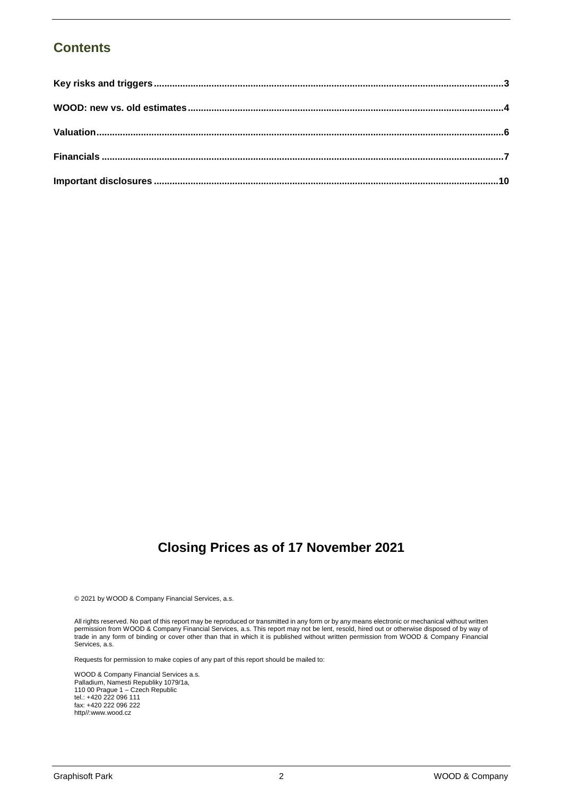### **Contents**

### **Closing Prices as of 17 November 2021**

© 2021 by WOOD & Company Financial Services, a.s.

All rights reserved. No part of this report may be reproduced or transmitted in any form or by any means electronic or mechanical without written permission from WOOD & Company Financial Services, a.s. This report may not be lent, resold, hired out or otherwise disposed of by way of trade in any form of binding or cover other than that in which it is published without written permission from WOOD & Company Financial Services, a.s.

Requests for permission to make copies of any part of this report should be mailed to:

WOOD & Company Financial Services a.s. Palladium, Namesti Republiky 1079/1a, 110 00 Prague 1 – Czech Republic tel.: +420 222 096 111 fax: +420 222 096 222 http//:www.wood.cz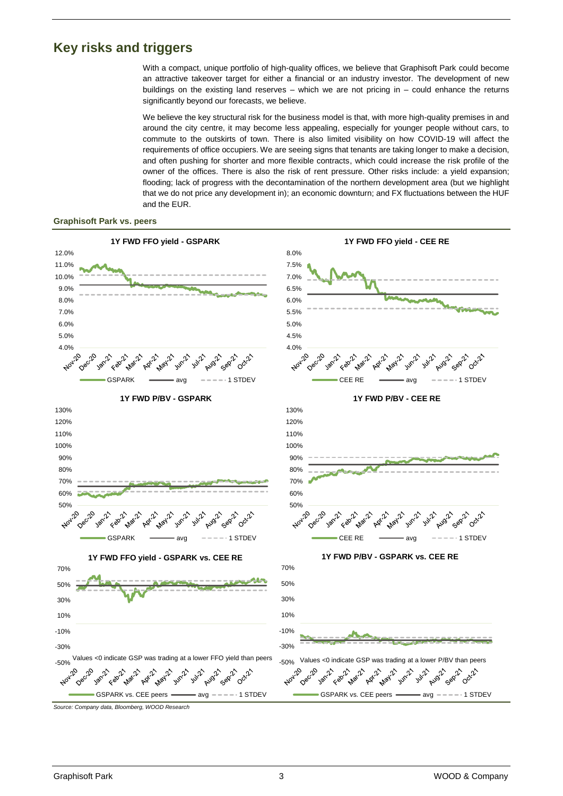### <span id="page-2-0"></span>**Key risks and triggers**

With a compact, unique portfolio of high-quality offices, we believe that Graphisoft Park could become an attractive takeover target for either a financial or an industry investor. The development of new buildings on the existing land reserves – which we are not pricing in – could enhance the returns significantly beyond our forecasts, we believe.

We believe the key structural risk for the business model is that, with more high-quality premises in and around the city centre, it may become less appealing, especially for younger people without cars, to commute to the outskirts of town. There is also limited visibility on how COVID-19 will affect the requirements of office occupiers. We are seeing signs that tenants are taking longer to make a decision, and often pushing for shorter and more flexible contracts, which could increase the risk profile of the owner of the offices. There is also the risk of rent pressure. Other risks include: a yield expansion; flooding; lack of progress with the decontamination of the northern development area (but we highlight that we do not price any development in); an economic downturn; and FX fluctuations between the HUF and the EUR.

#### **Graphisoft Park vs. peers**

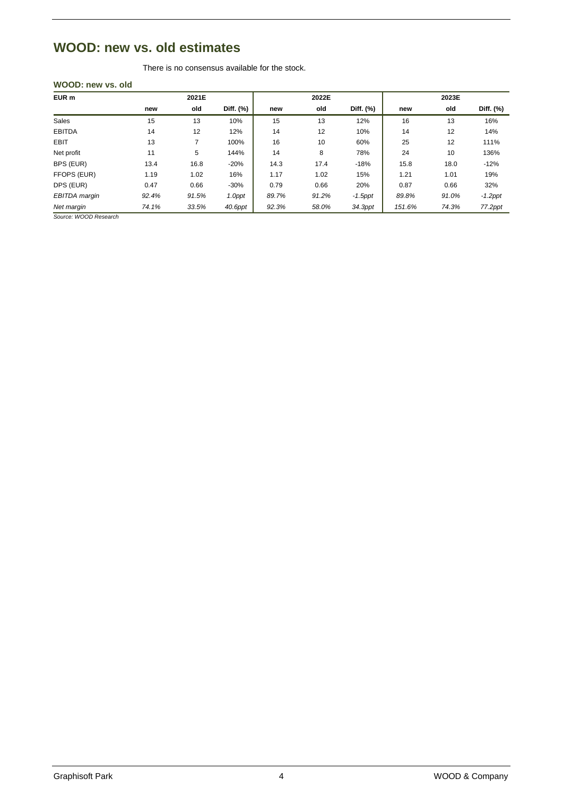### <span id="page-3-0"></span>**WOOD: new vs. old estimates**

There is no consensus available for the stock.

### **WOOD: new vs. old**

| EUR m                | 2021E |       |           | 2022E |       |            | 2023E  |       |            |
|----------------------|-------|-------|-----------|-------|-------|------------|--------|-------|------------|
|                      | new   | old   | Diff. (%) | new   | old   | Diff. (%)  | new    | old   | Diff. (%)  |
| Sales                | 15    | 13    | 10%       | 15    | 13    | 12%        | 16     | 13    | 16%        |
| <b>EBITDA</b>        | 14    | 12    | 12%       | 14    | 12    | 10%        | 14     | 12    | 14%        |
| <b>EBIT</b>          | 13    |       | 100%      | 16    | 10    | 60%        | 25     | 12    | 111%       |
| Net profit           | 11    | 5     | 144%      | 14    | 8     | 78%        | 24     | 10    | 136%       |
| BPS (EUR)            | 13.4  | 16.8  | $-20%$    | 14.3  | 17.4  | $-18%$     | 15.8   | 18.0  | $-12%$     |
| FFOPS (EUR)          | 1.19  | 1.02  | 16%       | 1.17  | 1.02  | 15%        | 1.21   | 1.01  | 19%        |
| DPS (EUR)            | 0.47  | 0.66  | $-30%$    | 0.79  | 0.66  | 20%        | 0.87   | 0.66  | 32%        |
| <b>EBITDA</b> margin | 92.4% | 91.5% | 1.0ppt    | 89.7% | 91.2% | $-1.5$ ppt | 89.8%  | 91.0% | $-1.2$ ppt |
| Net margin           | 74.1% | 33.5% | 40.6ppt   | 92.3% | 58.0% | 34.3ppt    | 151.6% | 74.3% | 77.2ppt    |

*Source: WOOD Research*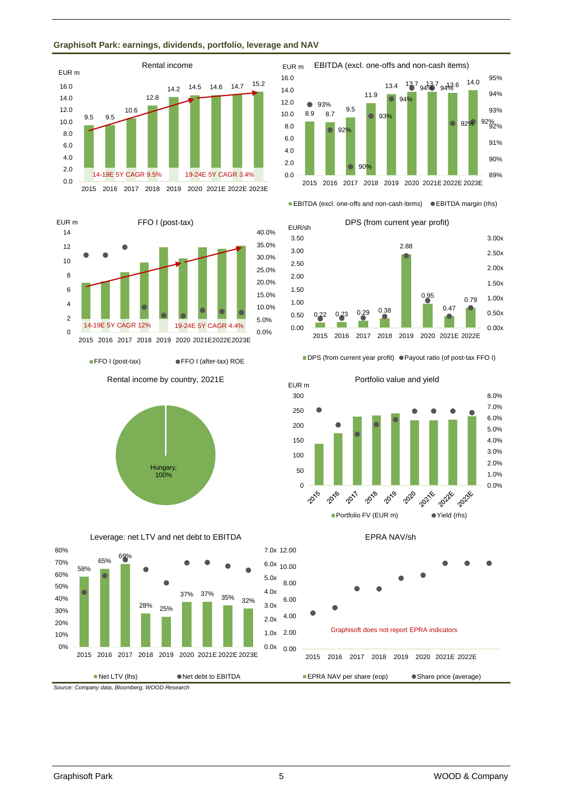### **Graphisoft Park: earnings, dividends, portfolio, leverage and NAV**







■ FFO I (post-tax) ● FFO I (after-tax) ROE



Leverage: net LTV and net debt to EBITDA





■ EBITDA (excl. one-offs and non-cash items) ● EBITDA margin (rhs)



#### ■ DPS (from current year profit) ● Payout ratio (of post-tax FFO I)



EPRA NAV/sh

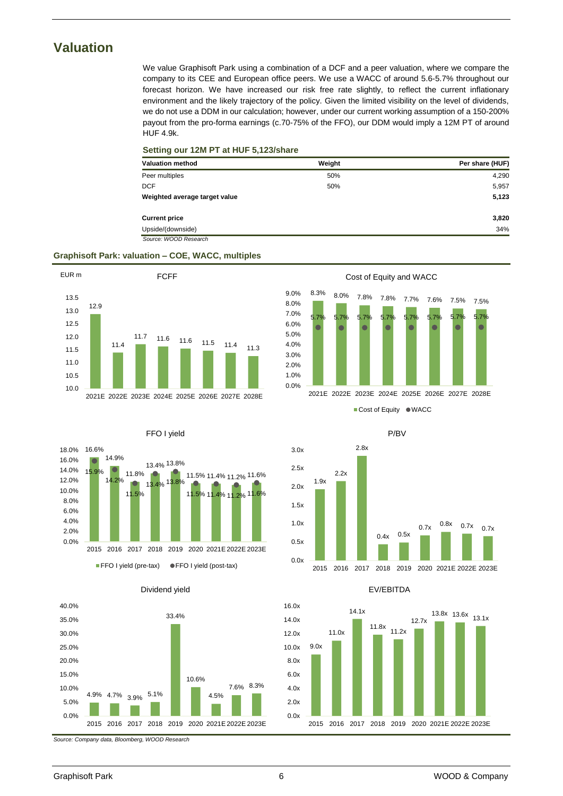### <span id="page-5-0"></span>**Valuation**

We value Graphisoft Park using a combination of a DCF and a peer valuation, where we compare the company to its CEE and European office peers. We use a WACC of around 5.6-5.7% throughout our forecast horizon. We have increased our risk free rate slightly, to reflect the current inflationary environment and the likely trajectory of the policy. Given the limited visibility on the level of dividends, we do not use a DDM in our calculation; however, under our current working assumption of a 150-200% payout from the pro-forma earnings (c.70-75% of the FFO), our DDM would imply a 12M PT of around HUF 4.9k.

#### **Setting our 12M PT at HUF 5,123/share**

| <b>Valuation method</b>       | Weight | Per share (HUF) |
|-------------------------------|--------|-----------------|
| Peer multiples                | 50%    | 4,290           |
| <b>DCF</b>                    | 50%    | 5,957           |
| Weighted average target value |        | 5,123           |
| <b>Current price</b>          |        | 3,820           |
| Upside/(downside)             |        | 34%             |
| Source: WOOD Research         |        |                 |

7.0% 8.0% 9.0%

#### **Graphisoft Park: valuation – COE, WACC, multiples**











Cost of Equity and WACC

2021E 2022E 2023E 2024E 2025E 2026E 2027E 2028E

■ Cost of Equity ● WACC







*Source: Company data, Bloomberg, WOOD Research*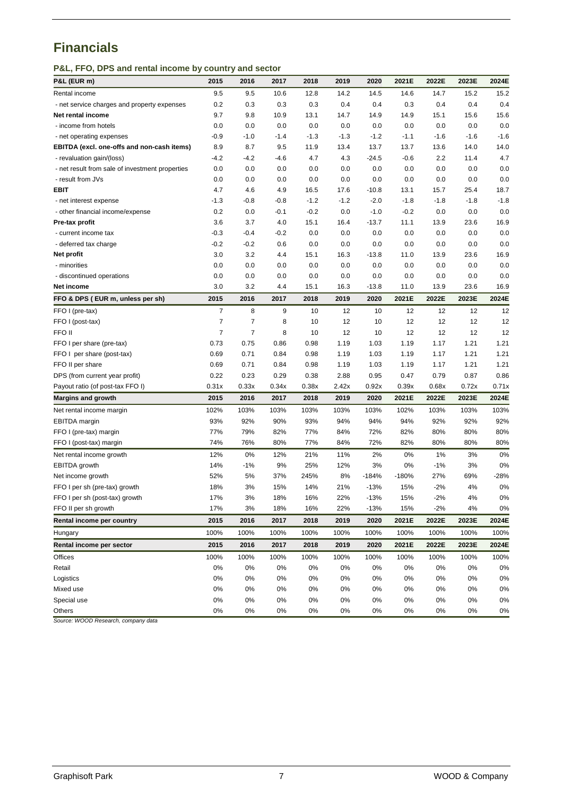### <span id="page-6-0"></span>**Financials**

**P&L, FFO, DPS and rental income by country and sector**

| P&L (EUR m)                                     | 2015           | 2016           | 2017   | 2018   | 2019   | 2020    | 2021E   | 2022E  | 2023E  | 2024E  |
|-------------------------------------------------|----------------|----------------|--------|--------|--------|---------|---------|--------|--------|--------|
| Rental income                                   | 9.5            | 9.5            | 10.6   | 12.8   | 14.2   | 14.5    | 14.6    | 14.7   | 15.2   | 15.2   |
| - net service charges and property expenses     | 0.2            | 0.3            | 0.3    | 0.3    | 0.4    | 0.4     | 0.3     | 0.4    | 0.4    | 0.4    |
| Net rental income                               | 9.7            | 9.8            | 10.9   | 13.1   | 14.7   | 14.9    | 14.9    | 15.1   | 15.6   | 15.6   |
| - income from hotels                            | 0.0            | 0.0            | 0.0    | 0.0    | 0.0    | 0.0     | 0.0     | 0.0    | 0.0    | 0.0    |
| - net operating expenses                        | $-0.9$         | $-1.0$         | $-1.4$ | $-1.3$ | $-1.3$ | $-1.2$  | $-1.1$  | $-1.6$ | $-1.6$ | $-1.6$ |
| EBITDA (excl. one-offs and non-cash items)      | 8.9            | 8.7            | 9.5    | 11.9   | 13.4   | 13.7    | 13.7    | 13.6   | 14.0   | 14.0   |
| - revaluation gain/(loss)                       | $-4.2$         | $-4.2$         | $-4.6$ | 4.7    | 4.3    | $-24.5$ | $-0.6$  | 2.2    | 11.4   | 4.7    |
| - net result from sale of investment properties | 0.0            | 0.0            | 0.0    | 0.0    | 0.0    | 0.0     | 0.0     | 0.0    | 0.0    | 0.0    |
| - result from JVs                               | 0.0            | 0.0            | 0.0    | 0.0    | 0.0    | 0.0     | 0.0     | 0.0    | 0.0    | 0.0    |
| <b>EBIT</b>                                     | 4.7            | 4.6            | 4.9    | 16.5   | 17.6   | $-10.8$ | 13.1    | 15.7   | 25.4   | 18.7   |
| - net interest expense                          | $-1.3$         | $-0.8$         | $-0.8$ | $-1.2$ | $-1.2$ | $-2.0$  | $-1.8$  | $-1.8$ | $-1.8$ | $-1.8$ |
| - other financial income/expense                | 0.2            | 0.0            | $-0.1$ | $-0.2$ | 0.0    | $-1.0$  | $-0.2$  | 0.0    | 0.0    | 0.0    |
| Pre-tax profit                                  | 3.6            | 3.7            | 4.0    | 15.1   | 16.4   | $-13.7$ | 11.1    | 13.9   | 23.6   | 16.9   |
| - current income tax                            | $-0.3$         | $-0.4$         | $-0.2$ | 0.0    | 0.0    | 0.0     | 0.0     | 0.0    | 0.0    | 0.0    |
| - deferred tax charge                           | $-0.2$         | $-0.2$         | 0.6    | 0.0    | 0.0    | 0.0     | 0.0     | 0.0    | 0.0    | 0.0    |
| Net profit                                      | 3.0            | 3.2            | 4.4    | 15.1   | 16.3   | $-13.8$ | 11.0    | 13.9   | 23.6   | 16.9   |
| - minorities                                    | 0.0            | 0.0            | 0.0    | 0.0    | 0.0    | 0.0     | 0.0     | 0.0    | 0.0    | 0.0    |
| - discontinued operations                       | 0.0            | 0.0            | 0.0    | 0.0    | 0.0    | 0.0     | 0.0     | 0.0    | 0.0    | 0.0    |
| Net income                                      | 3.0            | 3.2            | 4.4    | 15.1   | 16.3   | $-13.8$ | 11.0    | 13.9   | 23.6   | 16.9   |
| FFO & DPS (EUR m, unless per sh)                | 2015           | 2016           | 2017   | 2018   | 2019   | 2020    | 2021E   | 2022E  | 2023E  | 2024E  |
| FFO I (pre-tax)                                 | $\overline{7}$ | 8              | 9      | 10     | 12     | 10      | 12      | 12     | 12     | 12     |
| FFO I (post-tax)                                | $\overline{7}$ | $\overline{7}$ | 8      | 10     | 12     | 10      | 12      | 12     | 12     | 12     |
| FFO II                                          | $\overline{7}$ | 7              | 8      | 10     | 12     | 10      | 12      | 12     | 12     | 12     |
| FFO I per share (pre-tax)                       | 0.73           | 0.75           | 0.86   | 0.98   | 1.19   | 1.03    | 1.19    | 1.17   | 1.21   | 1.21   |
| FFO I per share (post-tax)                      | 0.69           | 0.71           | 0.84   | 0.98   | 1.19   | 1.03    | 1.19    | 1.17   | 1.21   | 1.21   |
| FFO II per share                                | 0.69           | 0.71           | 0.84   | 0.98   | 1.19   | 1.03    | 1.19    | 1.17   | 1.21   | 1.21   |
| DPS (from current year profit)                  | 0.22           | 0.23           | 0.29   | 0.38   | 2.88   | 0.95    | 0.47    | 0.79   | 0.87   | 0.86   |
| Payout ratio (of post-tax FFO I)                | 0.31x          | 0.33x          | 0.34x  | 0.38x  | 2.42x  | 0.92x   | 0.39x   | 0.68x  | 0.72x  | 0.71x  |
| <b>Margins and growth</b>                       | 2015           | 2016           | 2017   | 2018   | 2019   | 2020    | 2021E   | 2022E  | 2023E  | 2024E  |
| Net rental income margin                        | 102%           | 103%           | 103%   | 103%   | 103%   | 103%    | 102%    | 103%   | 103%   | 103%   |
| EBITDA margin                                   | 93%            | 92%            | 90%    | 93%    | 94%    | 94%     | 94%     | 92%    | 92%    | 92%    |
| FFO I (pre-tax) margin                          | 77%            | 79%            | 82%    | 77%    | 84%    | 72%     | 82%     | 80%    | 80%    | 80%    |
| FFO I (post-tax) margin                         | 74%            | 76%            | 80%    | 77%    | 84%    | 72%     | 82%     | 80%    | 80%    | 80%    |
| Net rental income growth                        | 12%            | 0%             | 12%    | 21%    | 11%    | 2%      | 0%      | $1\%$  | 3%     | 0%     |
| EBITDA growth                                   | 14%            | $-1%$          | 9%     | 25%    | 12%    | 3%      | 0%      | $-1%$  | 3%     | 0%     |
| Net income growth                               | 52%            | 5%             | 37%    | 245%   | 8%     | $-184%$ | $-180%$ | 27%    | 69%    | -28%   |
| FFO I per sh (pre-tax) growth                   | 18%            | 3%             | 15%    | 14%    | 21%    | $-13%$  | 15%     | $-2%$  | 4%     | 0%     |
| FFO I per sh (post-tax) growth                  | 17%            | 3%             | 18%    | 16%    | 22%    | $-13%$  | 15%     | $-2%$  | 4%     | 0%     |
| FFO II per sh growth                            | 17%            | 3%             | 18%    | 16%    | 22%    | $-13%$  | 15%     | $-2%$  | 4%     | 0%     |
| Rental income per country                       | 2015           | 2016           | 2017   | 2018   | 2019   | 2020    | 2021E   | 2022E  | 2023E  | 2024E  |
| Hungary                                         | 100%           | 100%           | 100%   | 100%   | 100%   | 100%    | 100%    | 100%   | 100%   | 100%   |
| Rental income per sector                        | 2015           | 2016           | 2017   | 2018   | 2019   | 2020    | 2021E   | 2022E  | 2023E  | 2024E  |
| Offices                                         | 100%           | 100%           | 100%   | 100%   | 100%   | 100%    | 100%    | 100%   | 100%   | 100%   |
| Retail                                          | 0%             | 0%             | 0%     | 0%     | 0%     | 0%      | 0%      | 0%     | 0%     | 0%     |
| Logistics                                       | 0%             | $0\%$          | 0%     | 0%     | 0%     | 0%      | $0\%$   | $0\%$  | 0%     | 0%     |
| Mixed use                                       | 0%             | 0%             | 0%     | 0%     | 0%     | 0%      | 0%      | 0%     | 0%     | 0%     |
| Special use                                     | $0\%$          | 0%             | 0%     | 0%     | 0%     | 0%      | 0%      | 0%     | 0%     | 0%     |
| Others                                          | $0\%$          | 0%             | 0%     | 0%     | 0%     | $0\%$   | 0%      | $0\%$  | 0%     | 0%     |

*Source: WOOD Research, company data*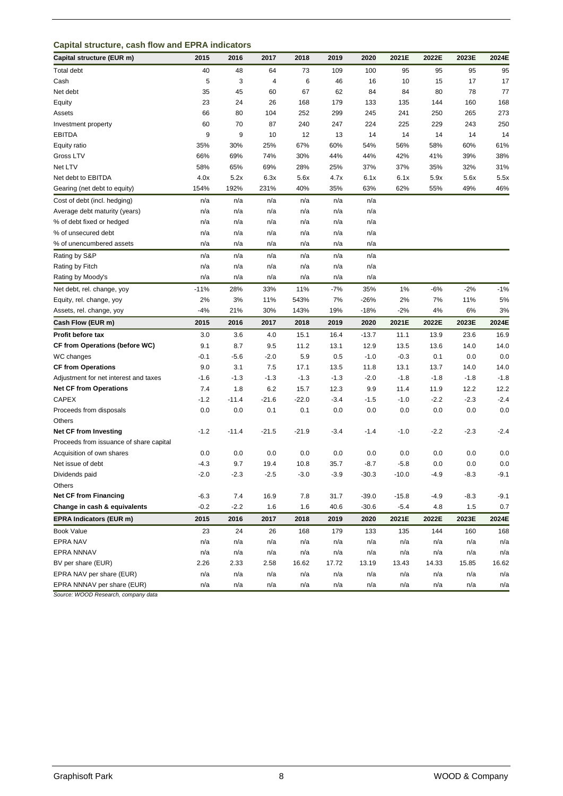#### **Capital structure, cash flow and EPRA indicators**

| Capital structure (EUR m)               | 2015   | 2016    | 2017    | 2018    | 2019   | 2020    | 2021E   | 2022E  | 2023E  | 2024E  |
|-----------------------------------------|--------|---------|---------|---------|--------|---------|---------|--------|--------|--------|
| Total debt                              | 40     | 48      | 64      | 73      | 109    | 100     | 95      | 95     | 95     | 95     |
| Cash                                    | 5      | 3       | 4       | 6       | 46     | 16      | 10      | 15     | 17     | 17     |
| Net debt                                | 35     | 45      | 60      | 67      | 62     | 84      | 84      | 80     | 78     | 77     |
| Equity                                  | 23     | 24      | 26      | 168     | 179    | 133     | 135     | 144    | 160    | 168    |
| Assets                                  | 66     | 80      | 104     | 252     | 299    | 245     | 241     | 250    | 265    | 273    |
| Investment property                     | 60     | 70      | 87      | 240     | 247    | 224     | 225     | 229    | 243    | 250    |
| <b>EBITDA</b>                           | 9      | 9       | 10      | 12      | 13     | 14      | 14      | 14     | 14     | 14     |
| Equity ratio                            | 35%    | 30%     | 25%     | 67%     | 60%    | 54%     | 56%     | 58%    | 60%    | 61%    |
| Gross LTV                               | 66%    | 69%     | 74%     | 30%     | 44%    | 44%     | 42%     | 41%    | 39%    | 38%    |
| Net LTV                                 | 58%    | 65%     | 69%     | 28%     | 25%    | 37%     | 37%     | 35%    | 32%    | 31%    |
| Net debt to EBITDA                      | 4.0x   | 5.2x    | 6.3x    | 5.6x    | 4.7x   | 6.1x    | 6.1x    | 5.9x   | 5.6x   | 5.5x   |
| Gearing (net debt to equity)            | 154%   | 192%    | 231%    | 40%     | 35%    | 63%     | 62%     | 55%    | 49%    | 46%    |
| Cost of debt (incl. hedging)            | n/a    | n/a     | n/a     | n/a     | n/a    | n/a     |         |        |        |        |
| Average debt maturity (years)           | n/a    | n/a     | n/a     | n/a     | n/a    | n/a     |         |        |        |        |
| % of debt fixed or hedged               | n/a    | n/a     | n/a     | n/a     | n/a    | n/a     |         |        |        |        |
| % of unsecured debt                     | n/a    | n/a     | n/a     | n/a     | n/a    | n/a     |         |        |        |        |
| % of unencumbered assets                | n/a    | n/a     | n/a     | n/a     | n/a    | n/a     |         |        |        |        |
| Rating by S&P                           | n/a    | n/a     | n/a     | n/a     | n/a    | n/a     |         |        |        |        |
| Rating by Fitch                         | n/a    | n/a     | n/a     | n/a     | n/a    | n/a     |         |        |        |        |
| Rating by Moody's                       | n/a    | n/a     | n/a     | n/a     | n/a    | n/a     |         |        |        |        |
| Net debt, rel. change, yoy              | $-11%$ | 28%     | 33%     | 11%     | $-7%$  | 35%     | 1%      | -6%    | $-2%$  | $-1%$  |
| Equity, rel. change, yoy                | 2%     | 3%      | 11%     | 543%    | 7%     | -26%    | 2%      | 7%     | 11%    | 5%     |
| Assets, rel. change, yoy                | $-4%$  | 21%     | 30%     | 143%    | 19%    | $-18%$  | $-2%$   | 4%     | 6%     | 3%     |
| Cash Flow (EUR m)                       | 2015   | 2016    | 2017    | 2018    | 2019   | 2020    | 2021E   | 2022E  | 2023E  | 2024E  |
| Profit before tax                       | 3.0    | 3.6     | 4.0     | 15.1    | 16.4   | $-13.7$ | 11.1    | 13.9   | 23.6   | 16.9   |
| <b>CF from Operations (before WC)</b>   | 9.1    | 8.7     | 9.5     | 11.2    | 13.1   | 12.9    | 13.5    | 13.6   | 14.0   | 14.0   |
| WC changes                              | $-0.1$ | $-5.6$  | $-2.0$  | 5.9     | 0.5    | $-1.0$  | $-0.3$  | 0.1    | 0.0    | 0.0    |
| <b>CF from Operations</b>               | 9.0    | 3.1     | 7.5     | 17.1    | 13.5   | 11.8    | 13.1    | 13.7   | 14.0   | 14.0   |
| Adjustment for net interest and taxes   | $-1.6$ | $-1.3$  | $-1.3$  | $-1.3$  | $-1.3$ | $-2.0$  | $-1.8$  | $-1.8$ | $-1.8$ | $-1.8$ |
| <b>Net CF from Operations</b>           | 7.4    | 1.8     | 6.2     | 15.7    | 12.3   | 9.9     | 11.4    | 11.9   | 12.2   | 12.2   |
| <b>CAPEX</b>                            | $-1.2$ | $-11.4$ | $-21.6$ | $-22.0$ | $-3.4$ | $-1.5$  | $-1.0$  | $-2.2$ | $-2.3$ | $-2.4$ |
| Proceeds from disposals                 | 0.0    | 0.0     | 0.1     | 0.1     | 0.0    | 0.0     | 0.0     | 0.0    | 0.0    | 0.0    |
| Others                                  |        |         |         |         |        |         |         |        |        |        |
| <b>Net CF from Investing</b>            | $-1.2$ | $-11.4$ | $-21.5$ | $-21.9$ | $-3.4$ | $-1.4$  | $-1.0$  | $-2.2$ | $-2.3$ | $-2.4$ |
| Proceeds from issuance of share capital |        |         |         |         |        |         |         |        |        |        |
| Acquisition of own shares               | 0.0    | 0.0     | 0.0     | 0.0     | 0.0    | 0.0     | 0.0     | 0.0    | 0.0    | 0.0    |
| Net issue of debt                       | $-4.3$ | 9.7     | 19.4    | 10.8    | 35.7   | $-8.7$  | -5.8    | 0.0    | 0.0    | 0.0    |
| Dividends paid                          | $-2.0$ | $-2.3$  | $-2.5$  | $-3.0$  | $-3.9$ | $-30.3$ | $-10.0$ | $-4.9$ | $-8.3$ | $-9.1$ |
| Others                                  |        |         |         |         |        |         |         |        |        |        |
| <b>Net CF from Financing</b>            | $-6.3$ | 7.4     | 16.9    | 7.8     | 31.7   | $-39.0$ | $-15.8$ | $-4.9$ | $-8.3$ | $-9.1$ |
| Change in cash & equivalents            | $-0.2$ | $-2.2$  | 1.6     | 1.6     | 40.6   | $-30.6$ | $-5.4$  | 4.8    | 1.5    | 0.7    |
| <b>EPRA Indicators (EUR m)</b>          | 2015   | 2016    | 2017    | 2018    | 2019   | 2020    | 2021E   | 2022E  | 2023E  | 2024E  |
| Book Value                              | 23     | 24      | 26      | 168     | 179    | 133     | 135     | 144    | 160    | 168    |
| <b>EPRA NAV</b>                         | n/a    | n/a     | n/a     | n/a     | n/a    | n/a     | n/a     | n/a    | n/a    | n/a    |
| EPRA NNNAV                              | n/a    | n/a     | n/a     | n/a     | n/a    | n/a     | n/a     | n/a    | n/a    | n/a    |
| BV per share (EUR)                      | 2.26   | 2.33    | 2.58    | 16.62   | 17.72  | 13.19   | 13.43   | 14.33  | 15.85  | 16.62  |
| EPRA NAV per share (EUR)                | n/a    | n/a     | n/a     | n/a     | n/a    | n/a     | n/a     | n/a    | n/a    | n/a    |
| EPRA NNNAV per share (EUR)              | n/a    | n/a     | n/a     | n/a     | n/a    | n/a     | n/a     | n/a    | n/a    | n/a    |

*Source: WOOD Research, company data*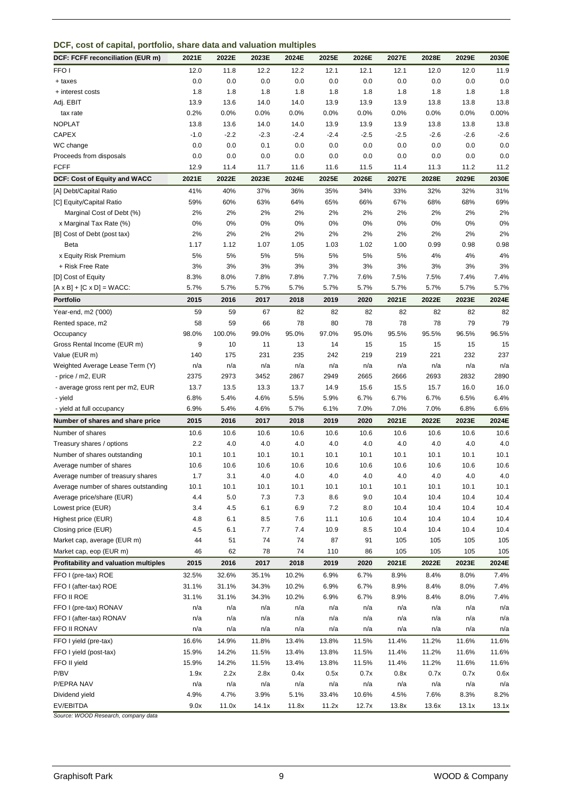| DCF, cost of capital, portfolio, share data and valuation multiples |  |  |  |  |
|---------------------------------------------------------------------|--|--|--|--|
|---------------------------------------------------------------------|--|--|--|--|

| DCF: FCFF reconciliation (EUR m)      | 2021E  | 2022E   | 2023E  | 2024E  | 2025E  | 2026E  | 2027E  | 2028E  | 2029E  | 2030E   |
|---------------------------------------|--------|---------|--------|--------|--------|--------|--------|--------|--------|---------|
| FFO <sub>1</sub>                      | 12.0   | 11.8    | 12.2   | 12.2   | 12.1   | 12.1   | 12.1   | 12.0   | 12.0   | 11.9    |
| + taxes                               | 0.0    | 0.0     | 0.0    | 0.0    | 0.0    | 0.0    | 0.0    | 0.0    | 0.0    | 0.0     |
| + interest costs                      | 1.8    | 1.8     | 1.8    | 1.8    | 1.8    | 1.8    | 1.8    | 1.8    | 1.8    | 1.8     |
| Adj. EBIT                             | 13.9   | 13.6    | 14.0   | 14.0   | 13.9   | 13.9   | 13.9   | 13.8   | 13.8   | 13.8    |
| tax rate                              | 0.2%   | 0.0%    | 0.0%   | 0.0%   | 0.0%   | 0.0%   | 0.0%   | 0.0%   | 0.0%   | 0.00%   |
| <b>NOPLAT</b>                         | 13.8   | 13.6    | 14.0   | 14.0   | 13.9   | 13.9   | 13.9   | 13.8   | 13.8   | 13.8    |
| CAPEX                                 | $-1.0$ | $-2.2$  | $-2.3$ | $-2.4$ | $-2.4$ | $-2.5$ | $-2.5$ | $-2.6$ | $-2.6$ | $-2.6$  |
| WC change                             | 0.0    | 0.0     | 0.1    | 0.0    | 0.0    | 0.0    | 0.0    | 0.0    | 0.0    | 0.0     |
| Proceeds from disposals               | 0.0    | 0.0     | 0.0    | 0.0    | 0.0    | 0.0    | 0.0    | 0.0    | 0.0    | 0.0     |
| <b>FCFF</b>                           | 12.9   | 11.4    | 11.7   | 11.6   | 11.6   | 11.5   | 11.4   | 11.3   | 11.2   | 11.2    |
| DCF: Cost of Equity and WACC          | 2021E  | 2022E   | 2023E  | 2024E  | 2025E  | 2026E  | 2027E  | 2028E  | 2029E  | 2030E   |
| [A] Debt/Capital Ratio                | 41%    | 40%     | 37%    | 36%    | 35%    | 34%    | 33%    | 32%    | 32%    | 31%     |
| [C] Equity/Capital Ratio              | 59%    | 60%     | 63%    | 64%    | 65%    | 66%    | 67%    | 68%    | 68%    | 69%     |
| Marginal Cost of Debt (%)             | 2%     | 2%      | 2%     | 2%     | 2%     | 2%     | 2%     | 2%     | 2%     | 2%      |
| x Marginal Tax Rate (%)               | $0\%$  | $0\%$   | 0%     | 0%     | 0%     | 0%     | 0%     | 0%     | 0%     | 0%      |
| [B] Cost of Debt (post tax)           | 2%     | 2%      | 2%     | 2%     | 2%     | 2%     | 2%     | 2%     | 2%     | 2%      |
| Beta                                  | 1.17   | 1.12    | 1.07   | 1.05   | 1.03   | 1.02   | 1.00   | 0.99   | 0.98   | 0.98    |
| x Equity Risk Premium                 | 5%     | 5%      | 5%     | 5%     | 5%     | 5%     | 5%     | 4%     | 4%     | 4%      |
| + Risk Free Rate                      | 3%     | 3%      | 3%     | 3%     | 3%     | 3%     | 3%     | 3%     | 3%     | 3%      |
| [D] Cost of Equity                    | 8.3%   | 8.0%    | 7.8%   | 7.8%   | 7.7%   | 7.6%   | 7.5%   | 7.5%   | 7.4%   | 7.4%    |
| $[A \times B] + [C \times D] = WACC:$ | 5.7%   | 5.7%    | 5.7%   | 5.7%   | 5.7%   | 5.7%   | 5.7%   | 5.7%   | 5.7%   | 5.7%    |
| <b>Portfolio</b>                      | 2015   | 2016    | 2017   | 2018   | 2019   | 2020   | 2021E  | 2022E  | 2023E  | 2024E   |
| Year-end, m2 ('000)                   | 59     | 59      | 67     | 82     | 82     | 82     | 82     | 82     | 82     | 82      |
| Rented space, m2                      | 58     | 59      | 66     | 78     | 80     | 78     | 78     | 78     | 79     | 79      |
| Occupancy                             | 98.0%  | 100.0%  | 99.0%  | 95.0%  | 97.0%  | 95.0%  | 95.5%  | 95.5%  | 96.5%  | 96.5%   |
| Gross Rental Income (EUR m)           | 9      | 10      | 11     | 13     | 14     | 15     | 15     | 15     | 15     | 15      |
| Value (EUR m)                         | 140    | 175     | 231    | 235    | 242    | 219    | 219    | 221    | 232    | 237     |
| Weighted Average Lease Term (Y)       | n/a    | n/a     | n/a    | n/a    | n/a    | n/a    | n/a    | n/a    | n/a    | n/a     |
| - price / m2, EUR                     | 2375   | 2973    | 3452   | 2867   | 2949   | 2665   | 2666   | 2693   | 2832   | 2890    |
| - average gross rent per m2, EUR      | 13.7   | 13.5    | 13.3   | 13.7   | 14.9   | 15.6   | 15.5   | 15.7   | 16.0   | 16.0    |
| - yield                               | 6.8%   | 5.4%    | 4.6%   | 5.5%   | 5.9%   | 6.7%   | 6.7%   | 6.7%   | 6.5%   | 6.4%    |
| - yield at full occupancy             | 6.9%   | 5.4%    | 4.6%   | 5.7%   | 6.1%   | 7.0%   | 7.0%   | 7.0%   | 6.8%   | 6.6%    |
| Number of shares and share price      | 2015   | 2016    | 2017   | 2018   | 2019   | 2020   | 2021E  | 2022E  | 2023E  | 2024E   |
| Number of shares                      | 10.6   | 10.6    | 10.6   | 10.6   | 10.6   | 10.6   | 10.6   | 10.6   | 10.6   | 10.6    |
| Treasury shares / options             | 2.2    | 4.0     | 4.0    | 4.0    | 4.0    | 4.0    | 4.0    | 4.0    | 4.0    | 4.0     |
| Number of shares outstanding          | 10.1   | 10.1    | 10.1   | 10.1   | 10.1   | 10.1   | 10.1   | 10.1   | 10.1   | 10.1    |
| Average number of shares              | 10.6   | 10.6    | 10.6   | 10.6   | 10.6   | 10.6   | 10.6   | 10.6   | 10.6   | 10.6    |
| Average number of treasury shares     | $1.7$  | 3.1     | 4.0    | $4.0$  | 4.0    | 4.0    | 4.0    | 4.0    | $4.0$  | $4.0\,$ |
| Average number of shares outstanding  | 10.1   | 10.1    | 10.1   | 10.1   | 10.1   | 10.1   | 10.1   | 10.1   | 10.1   | 10.1    |
| Average price/share (EUR)             | 4.4    | $5.0\,$ | 7.3    | 7.3    | 8.6    | 9.0    | 10.4   | 10.4   | 10.4   | 10.4    |
| Lowest price (EUR)                    | 3.4    | 4.5     | 6.1    | 6.9    | 7.2    | 8.0    | 10.4   | 10.4   | 10.4   | 10.4    |
| Highest price (EUR)                   | 4.8    | 6.1     | 8.5    | 7.6    | 11.1   | 10.6   | 10.4   | 10.4   | 10.4   | 10.4    |
| Closing price (EUR)                   | 4.5    | 6.1     | 7.7    | 7.4    | 10.9   | 8.5    | 10.4   | 10.4   | 10.4   | 10.4    |
| Market cap, average (EUR m)           | 44     | 51      | 74     | 74     | 87     | 91     | 105    | 105    | 105    | 105     |
| Market cap, eop (EUR m)               | 46     | 62      | 78     | 74     | 110    | 86     | 105    | 105    | 105    | 105     |
| Profitability and valuation multiples | 2015   | 2016    | 2017   | 2018   | 2019   | 2020   | 2021E  | 2022E  | 2023E  | 2024E   |
| FFO I (pre-tax) ROE                   | 32.5%  | 32.6%   | 35.1%  | 10.2%  | 6.9%   | 6.7%   | 8.9%   | 8.4%   | 8.0%   | 7.4%    |
| FFO I (after-tax) ROE                 | 31.1%  | 31.1%   | 34.3%  | 10.2%  | 6.9%   | 6.7%   | 8.9%   | 8.4%   | 8.0%   | 7.4%    |
| FFO II ROE                            | 31.1%  | 31.1%   | 34.3%  | 10.2%  | 6.9%   | 6.7%   | 8.9%   | 8.4%   | 8.0%   | 7.4%    |
| FFO I (pre-tax) RONAV                 | n/a    | n/a     | n/a    | n/a    | n/a    | n/a    | n/a    | n/a    | n/a    | n/a     |
| FFO I (after-tax) RONAV               | n/a    | n/a     | n/a    | n/a    | n/a    | n/a    | n/a    | n/a    | n/a    | n/a     |
| FFO II RONAV                          | n/a    | n/a     | n/a    | n/a    | n/a    | n/a    | n/a    | n/a    | n/a    | n/a     |
| FFO I yield (pre-tax)                 | 16.6%  | 14.9%   | 11.8%  | 13.4%  | 13.8%  | 11.5%  | 11.4%  | 11.2%  | 11.6%  | 11.6%   |
| FFO I yield (post-tax)                | 15.9%  | 14.2%   | 11.5%  | 13.4%  | 13.8%  | 11.5%  | 11.4%  | 11.2%  | 11.6%  | 11.6%   |
| FFO II yield                          | 15.9%  | 14.2%   | 11.5%  | 13.4%  | 13.8%  | 11.5%  | 11.4%  | 11.2%  | 11.6%  | 11.6%   |
| P/BV                                  | 1.9x   | 2.2x    | 2.8x   | 0.4x   | 0.5x   | 0.7x   | 0.8x   | 0.7x   | 0.7x   | 0.6x    |
| P/EPRA NAV                            | n/a    | n/a     | n/a    | n/a    | n/a    | n/a    | n/a    | n/a    | n/a    | n/a     |
| Dividend yield                        | 4.9%   | 4.7%    | 3.9%   | 5.1%   | 33.4%  | 10.6%  | 4.5%   | 7.6%   | 8.3%   | 8.2%    |
| EV/EBITDA                             | 9.0x   | 11.0x   | 14.1x  | 11.8x  | 11.2x  | 12.7x  | 13.8x  | 13.6x  | 13.1x  | 13.1x   |

*Source: WOOD Research, company data*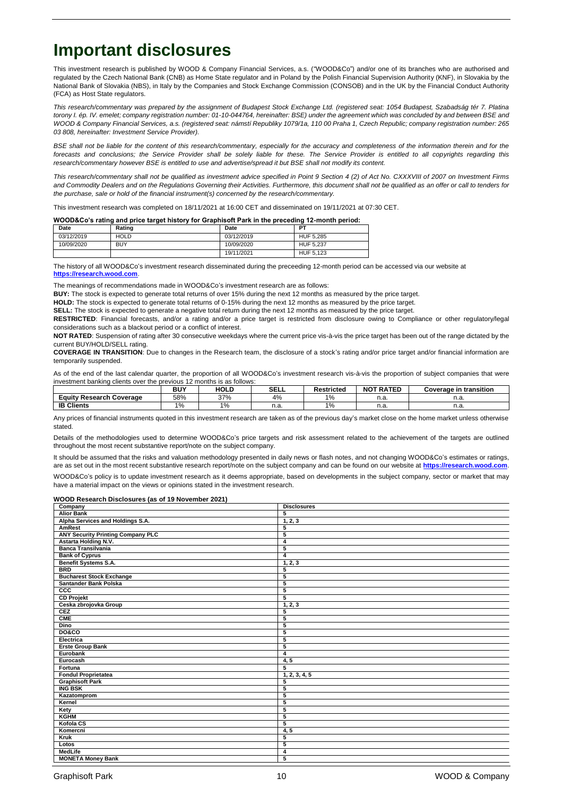## **Important disclosures**

This investment research is published by WOOD & Company Financial Services, a.s. ("WOOD&Co") and/or one of its branches who are authorised and regulated by the Czech National Bank (CNB) as Home State regulator and in Poland by the Polish Financial Supervision Authority (KNF), in Slovakia by the National Bank of Slovakia (NBS), in Italy by the Companies and Stock Exchange Commission (CONSOB) and in the UK by the Financial Conduct Authority (FCA) as Host State regulators.

*This research/commentary was prepared by the assignment of Budapest Stock Exchange Ltd. (registered seat: 1054 Budapest, Szabadság tér 7. Platina torony I. ép. IV. emelet; company registration number: 01-10-044764, hereinafter: BSE) under the agreement which was concluded by and between BSE and WOOD & Company Financial Services, a.s. (registered seat: námstí Republiky 1079/1a, 110 00 Praha 1, Czech Republic; company registration number: 265 03 808, hereinafter: Investment Service Provider).*

BSE shall not be liable for the content of this research/commentary, especially for the accuracy and completeness of the information therein and for the *forecasts and conclusions; the Service Provider shall be solely liable for these. The Service Provider is entitled to all copyrights regarding this research/commentary however BSE is entitled to use and advertise/spread it but BSE shall not modify its content.*

*This research/commentary shall not be qualified as investment advice specified in Point 9 Section 4 (2) of Act No. CXXXVIII of 2007 on Investment Firms and Commodity Dealers and on the Regulations Governing their Activities. Furthermore, this document shall not be qualified as an offer or call to tenders for the purchase, sale or hold of the financial instrument(s) concerned by the research/commentary.*

This investment research was completed on 18/11/2021 at 16:00 CET and disseminated on 19/11/2021 at 07:30 CET.

#### **WOOD&Co's rating and price target history for Graphisoft Park in the preceding 12-month period:**

| Date       | Rating      | Date       | PТ        |
|------------|-------------|------------|-----------|
| 03/12/2019 | <b>HOLD</b> | 03/12/2019 | HUF 5.285 |
| 10/09/2020 | <b>BUY</b>  | 10/09/2020 | HUF 5.237 |
|            |             | 19/11/2021 | HUF 5.123 |

The history of all WOOD&Co's investment research disseminated during the preceeding 12-month period can be accessed via our website at **https://r** 

The meanings of recommendations made in WOOD&Co's investment research are as follows:

**BUY:** The stock is expected to generate total returns of over 15% during the next 12 months as measured by the price target.

**HOLD:** The stock is expected to generate total returns of 0-15% during the next 12 months as measured by the price target.

**SELL:** The stock is expected to generate a negative total return during the next 12 months as measured by the price target.

**RESTRICTED:** Financial forecasts, and/or a rating and/or a price target is restricted from disclosure owing to Compliance or other regulatory/legal considerations such as a blackout period or a conflict of interest.

**NOT RATED**: Suspension of rating after 30 consecutive weekdays where the current price vis-à-vis the price target has been out of the range dictated by the current BUY/HOLD/SELL rating.

**COVERAGE IN TRANSITION**: Due to changes in the Research team, the disclosure of a stock's rating and/or price target and/or financial information are temporarily suspended.

As of the end of the last calendar quarter, the proportion of all WOOD&Co's investment research vis-à-vis the proportion of subject companies that were investment banking clients over the previous 12 months is as follows:

|                                | <b>DIIV</b><br>DU. | <b>HOLD</b>    | <b>SELL</b>           | Restricted | <b>NOT RATED</b> | .<br>∟transition<br>Coverage in |
|--------------------------------|--------------------|----------------|-----------------------|------------|------------------|---------------------------------|
| Eauity<br>Research<br>Coverage | 58%                | 270/<br>70 / ن | 4%                    | 1%         | ii.d             | n.a.                            |
| <b>Clients</b><br>IB           | IO.<br>7٥          | 1%             | $\sim$ $\sim$<br>ii.d | 1%         | 11.d             | n.a.                            |

Any prices of financial instruments quoted in this investment research are taken as of the previous day's market close on the home market unless otherwise stated.

Details of the methodologies used to determine WOOD&Co's price targets and risk assessment related to the achievement of the targets are outlined throughout the most recent substantive report/note on the subject company.

It should be assumed that the risks and valuation methodology presented in daily news or flash notes, and not changing WOOD&Co's estimates or ratings, are as set out in the most recent substantive research report/note on the subject company and can be found on our website at **[https://research.wood.com](https://research.wood.com/)**.

WOOD&Co's policy is to update investment research as it deems appropriate, based on developments in the subject company, sector or market that may have a material impact on the views or opinions stated in the investment research.

#### **WOOD Research Disclosures (as of 19 November 2021)**

| Company                           | <b>Disclosures</b> |
|-----------------------------------|--------------------|
| <b>Alior Bank</b>                 | 5                  |
| Alpha Services and Holdings S.A.  | 1, 2, 3            |
| <b>AmRest</b>                     | 5                  |
| ANY Security Printing Company PLC | 5                  |
| Astarta Holding N.V.              | 4                  |
| <b>Banca Transilvania</b>         | 5                  |
| <b>Bank of Cyprus</b>             | 4                  |
| Benefit Systems S.A.              | 1, 2, 3            |
| <b>BRD</b>                        | 5                  |
| <b>Bucharest Stock Exchange</b>   | 5                  |
| Santander Bank Polska             | 5                  |
| ccc                               | 5                  |
| <b>CD Projekt</b>                 | 5                  |
| Ceska zbrojovka Group             | 1, 2, 3            |
| CEZ                               | 5                  |
| <b>CME</b>                        | 5                  |
| <b>Dino</b>                       | 5                  |
| <b>DO&amp;CO</b>                  | 5                  |
| Electrica                         | 5                  |
| <b>Erste Group Bank</b>           | 5                  |
| Eurobank                          | 4                  |
| Eurocash                          | 4, 5               |
| Fortuna                           | 5                  |
| <b>Fondul Proprietatea</b>        | 1, 2, 3, 4, 5      |
| <b>Graphisoft Park</b>            | 5                  |
| <b>ING BSK</b>                    | 5                  |
| Kazatomprom                       | 5                  |
| Kernel                            | 5                  |
| Kety                              | 5                  |
| <b>KGHM</b>                       | 5                  |
| Kofola CS                         | 5                  |
| Komercni                          | 4, 5               |
| Kruk                              | 5                  |
| Lotos                             | 5                  |
| MedLife                           | 4                  |
| <b>MONETA Money Bank</b>          | 5                  |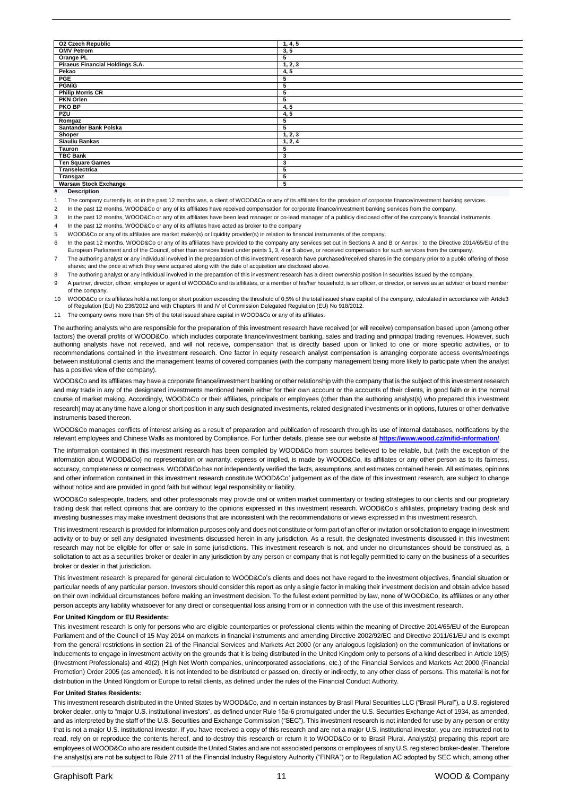| <b>02 Czech Republic</b>        | 1, 4, 5 |
|---------------------------------|---------|
| <b>OMV Petrom</b>               | 3, 5    |
| Orange PL                       | 5       |
| Piraeus Financial Holdings S.A. | 1, 2, 3 |
| Pekao                           | 4, 5    |
| PGE                             | 5       |
| <b>PGNIG</b>                    | 5       |
| <b>Philip Morris CR</b>         | 5       |
| <b>PKN Orlen</b>                | 5       |
| <b>PKO BP</b>                   | 4, 5    |
| PZU                             | 4, 5    |
| Romgaz                          | 5       |
| Santander Bank Polska           | 5       |
| Shoper                          | 1, 2, 3 |
| Siauliu Bankas                  | 1, 2, 4 |
| <b>Tauron</b>                   | 5       |
| <b>TBC Bank</b>                 | 3       |
| <b>Ten Square Games</b>         | 3       |
| Transelectrica                  | 5       |
| Transgaz                        | 5       |
| <b>Warsaw Stock Exchange</b>    | 5       |

#### **# Description**

1 The company currently is, or in the past 12 months was, a client of WOOD&Co or any of its affiliates for the provision of corporate finance/investment banking services.

- 2 In the past 12 months, WOOD&Co or any of its affiliates have received compensation for corporate finance/investment banking services from the company
- 3 In the past 12 months, WOOD&Co or any of its affiliates have been lead manager or co-lead manager of a publicly disclosed offer of the company's financial instruments.

4 In the past 12 months, WOOD&Co or any of its affilates have acted as broker to the company

5 WOOD&Co or any of its affiliates are market maker(s) or liquidity provider(s) in relation to financial instruments of the company.

6 In the past 12 months, WOOD&Co or any of its affiliates have provided to the company any services set out in Sections A and B or Annex I to the Directive 2014/65/EU of the European Parliament and of the Council, other than services listed under points 1, 3, 4 or 5 above, or received compensation for such services from the company.

7 The authoring analyst or any individual involved in the preparation of this investment research have purchased/received shares in the company prior to a public offering of those shares; and the price at which they were acquired along with the date of acquisition are disclosed above.

8 The authoring analyst or any individual involved in the preparation of this investment research has a direct ownership position in securities issued by the company.

- 9 A partner, director, officer, employee or agent of WOOD&Co and its affiliates, or a member of his/her household, is an officer, or director, or serves as an advisor or board member of the company.
- 10 WOOD&Co or its affiliates hold a net long or short position exceeding the threshold of 0,5% of the total issued share capital of the company, calculated in accordance with Artcle3 of Regulation (EU) No 236/2012 and with Chapters III and IV of Commission Delegated Regulation (EU) No 918/2012.
- 11 The company owns more than 5% of the total issued share capital in WOOD&Co or any of its affiliates.

The authoring analysts who are responsible for the preparation of this investment research have received (or will receive) compensation based upon (among other factors) the overall profits of WOOD&Co, which includes corporate finance/investment banking, sales and trading and principal trading revenues. However, such authoring analysts have not received, and will not receive, compensation that is directly based upon or linked to one or more specific activities, or to recommendations contained in the investment research. One factor in equity research analyst compensation is arranging corporate access events/meetings between institutional clients and the management teams of covered companies (with the company management being more likely to participate when the analyst has a positive view of the company).

WOOD&Co and its affiliates may have a corporate finance/investment banking or other relationship with the company that is the subject of this investment research and may trade in any of the designated investments mentioned herein either for their own account or the accounts of their clients, in good faith or in the normal course of market making. Accordingly, WOOD&Co or their affiliates, principals or employees (other than the authoring analyst(s) who prepared this investment research) may at any time have a long or short position in any such designated investments, related designated investments or in options, futures or other derivative instruments based thereon.

WOOD&Co manages conflicts of interest arising as a result of preparation and publication of research through its use of internal databases, notifications by the relevant employees and Chinese Walls as monitored by Compliance. For further details, please see our website at **https://www.wood.cz/mifid-information/**.

The information contained in this investment research has been compiled by WOOD&Co from sources believed to be reliable, but (with the exception of the information about WOOD&Co) no representation or warranty, express or implied, is made by WOOD&Co, its affiliates or any other person as to its fairness, accuracy, completeness or correctness. WOOD&Co has not independently verified the facts, assumptions, and estimates contained herein. All estimates, opinions and other information contained in this investment research constitute WOOD&Co' judgement as of the date of this investment research, are subject to change without notice and are provided in good faith but without legal responsibility or liability.

WOOD&Co salespeople, traders, and other professionals may provide oral or written market commentary or trading strategies to our clients and our proprietary trading desk that reflect opinions that are contrary to the opinions expressed in this investment research. WOOD&Co's affiliates, proprietary trading desk and investing businesses may make investment decisions that are inconsistent with the recommendations or views expressed in this investment research.

This investment research is provided for information purposes only and does not constitute or form part of an offer or invitation or solicitation to engage in investment activity or to buy or sell any designated investments discussed herein in any jurisdiction. As a result, the designated investments discussed in this investment research may not be eligible for offer or sale in some jurisdictions. This investment research is not, and under no circumstances should be construed as, a solicitation to act as a securities broker or dealer in any jurisdiction by any person or company that is not legally permitted to carry on the business of a securities broker or dealer in that jurisdiction.

This investment research is prepared for general circulation to WOOD&Co's clients and does not have regard to the investment objectives, financial situation or particular needs of any particular person. Investors should consider this report as only a single factor in making their investment decision and obtain advice based on their own individual circumstances before making an investment decision. To the fullest extent permitted by law, none of WOOD&Co, its affiliates or any other person accepts any liability whatsoever for any direct or consequential loss arising from or in connection with the use of this investment research.

#### **For United Kingdom or EU Residents:**

This investment research is only for persons who are eligible counterparties or professional clients within the meaning of Directive 2014/65/EU of the European Parliament and of the Council of 15 May 2014 on markets in financial instruments and amending Directive 2002/92/EC and Directive 2011/61/EU and is exempt from the general restrictions in section 21 of the Financial Services and Markets Act 2000 (or any analogous legislation) on the communication of invitations or inducements to engage in investment activity on the grounds that it is being distributed in the United Kingdom only to persons of a kind described in Article 19(5) (Investment Professionals) and 49(2) (High Net Worth companies, unincorporated associations, etc.) of the Financial Services and Markets Act 2000 (Financial Promotion) Order 2005 (as amended). It is not intended to be distributed or passed on, directly or indirectly, to any other class of persons. This material is not for distribution in the United Kingdom or Europe to retail clients, as defined under the rules of the Financial Conduct Authority.

#### **For United States Residents:**

This investment research distributed in the United States by WOOD&Co, and in certain instances by Brasil Plural Securities LLC ("Brasil Plural"), a U.S. registered broker dealer, only to "major U.S. institutional investors", as defined under Rule 15a-6 promulgated under the U.S. Securities Exchange Act of 1934, as amended, and as interpreted by the staff of the U.S. Securities and Exchange Commission ("SEC"). This investment research is not intended for use by any person or entity that is not a major U.S. institutional investor. If you have received a copy of this research and are not a major U.S. institutional investor, you are instructed not to read, rely on or reproduce the contents hereof, and to destroy this research or return it to WOOD&Co or to Brasil Plural. Analyst(s) preparing this report are employees of WOOD&Co who are resident outside the United States and are not associated persons or employees of any U.S. registered broker-dealer. Therefore the analyst(s) are not be subject to Rule 2711 of the Financial Industry Regulatory Authority ("FINRA") or to Regulation AC adopted by SEC which, among other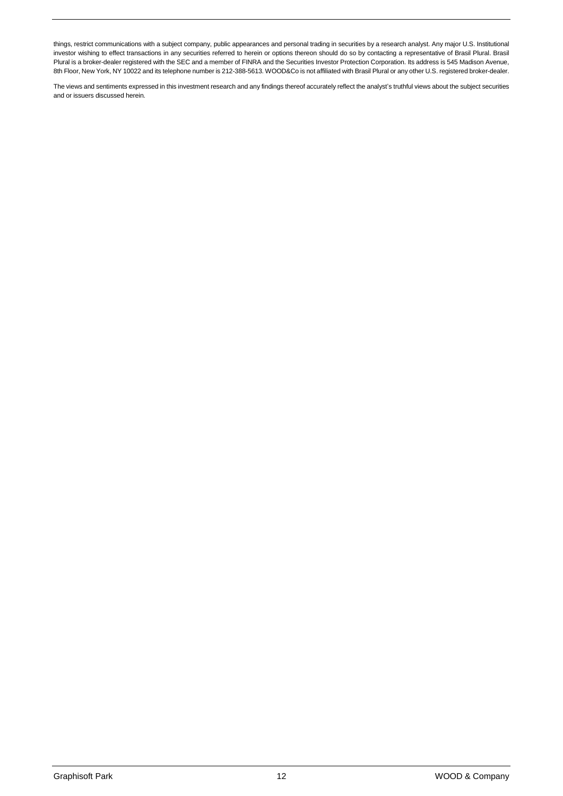things, restrict communications with a subject company, public appearances and personal trading in securities by a research analyst. Any major U.S. Institutional investor wishing to effect transactions in any securities referred to herein or options thereon should do so by contacting a representative of Brasil Plural. Brasil Plural is a broker-dealer registered with the SEC and a member of FINRA and the Securities Investor Protection Corporation. Its address is 545 Madison Avenue, 8th Floor, New York, NY 10022 and its telephone number is 212-388-5613. WOOD&Co is not affiliated with Brasil Plural or any other U.S. registered broker-dealer.

The views and sentiments expressed in this investment research and any findings thereof accurately reflect the analyst's truthful views about the subject securities and or issuers discussed herein.